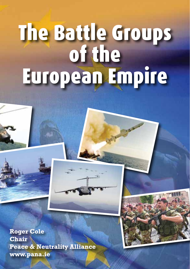# The Battle Groups<br>of the European Empire

**Roger Cole Chair Peace & Neutrality Alliance www.pana.ie**

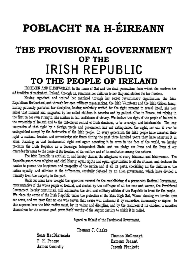## POBLACHT NA H-ÉIREANN

#### THE PROVISIONAL GOVERNMENT OF THE **IRISH REPUBLIC** TO THE PEOPLE OF IRELAND

IRISHMEN AND IRISHWOMEN: In the name of God and the dead generations from which she receives her old tradition of nationhood. Ireland, through us, summons her children to her flag and strikes for her freedom.

Having organised and trained her manhood through her secret revolutionary organisation, the Irish Republican Brotherhood, and through her open military organisations, the Irish Volunteers and the Irish Citizen Army, having patiently perfected her discipline, having resolutely waited for the right moment to reveal itself, she now seizes that moment and, supported by her exiled children in America and by gallant allies in Europe, but relying in the first on her own strength, she strikes in full confidence of victory. We declare the right of the people of Ireland to the ownership of Ireland and to the unfettered control of Irish destinies, to be sovereign and indefeasible. The long usurpation of that right by a foreign people and government has not extinguished the right, nor can it ever be extinguished except by the destruction of the Irish people. In every generation the Irish people have asserted their right to national freedom and sovereignty: six times during the past three hundred years they have asserted it in arms. Standing on that fundamental right and again asserting it in arms in the face of the world, we hereby proclaim the Irish Republic as a Sovereign Independent State, and we pledge our lives and the lives of our comrades-in-arms to the cause of its freedom, of its welfare and of its exaltation among the nations.

The Irish Republic is entitled to, and hereby claims, the allegiance of every Irishman and Irishwoman. The Republic guarantees religious and civil liberty, equal rights and equal opportunities to all its citizens, and declares its resolve to pursue the happiness and prosperity of the nation and of all its parts, cherishing all the children of the nation equally, and oblivious to the differences, carefully fostered by an alien government, which have divided a minority from the majority in the past.

Until our arms have brought the opportune moment for the establishing of a permanent National Government, representative of the whole people of Ireland, and elected by the suffrages of all her men and women, the Provisional Government, hereby constituted, will administer the civil and military affairs of the Republic in trust for the people. We place the cause of the Irish Republic under the protection of the Most High God, Whose blessing we invoke upon our arms, and we pray that no one who serves that cause will dishonour it by cowardice, inhumanity or rapine. In this supreme hour the Irish nation must, by its valour and discipline, and by the readiness of its children to sacrifice themselves for the common good, prove itself worthy of the august destiny to which it is called.

Signed on Behalf of the Provisional Government,

Thomas J. Clarke

Sean MacDiarmada P. H. Pearse James Connolly

Thomas McDonagh Eamonn Ceannt Joseph Plunkett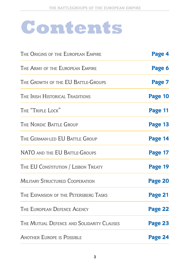## **Contents**

| THE ORIGINS OF THE EUROPEAN EMPIRE        | Page 4  |  |
|-------------------------------------------|---------|--|
| THE ARMY OF THE EUROPEAN EMPIRE           | Page 6  |  |
| THE GROWTH OF THE EU BATTLE-GROUPS        | Page 7  |  |
| The Irish Historical Traditions           | Page 10 |  |
| THE "TRIPLE LOCK"                         | Page 11 |  |
| THE NORDIC BATTLE GROUP                   | Page 13 |  |
| THE GERMAN-LED EU BATTLE GROUP            | Page 14 |  |
| NATO AND THE EU BATTLE-GROUPS             | Page 17 |  |
| THE EU CONSTITUTION / LISBON TREATY       | Page 19 |  |
| MILITARY STRUCTURED COOPERATION           | Page 20 |  |
| THE EXPANSION OF THE PETERSBERG TASKS     | Page 21 |  |
| THE EUROPEAN DEFENCE AGENCY               | Page 22 |  |
| THE MUTUAL DEFENCE AND SOLIDARITY CLAUSES | Page 23 |  |
| <b>ANOTHER EUROPE IS POSSIBLE</b>         | Page 24 |  |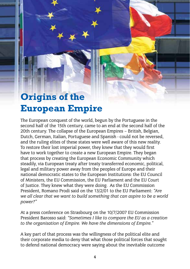## **Origins of the European Empire**

The European conquest of the world, begun by the Portuguese in the second half of the 15th century, came to an end at the second half of the 20th century. The collapse of the European Empires – British, Belgian, Dutch, German, Italian, Portuguese and Spanish - could not be reversed, and the ruling elites of these states were well aware of this new reality. To restore their lost imperial power, they knew that they would first have to work together to create a new European Empire. They began that process by creating the European Economic Community which steadily, via European treaty after treaty transferred economic, political, legal and military power away from the peoples of Europe and their national democratic states to the European Institutions: the EU Council of Ministers, the EU Commission, the EU Parliament and the EU Court of Justice. They knew what they were doing. As the EU Commission President, Romano Prodi said on the 13/2/01 to the EU Parliament: *"Are we all clear that we want to build something that can aspire to be a world power?"*

At a press conference on Strasbourg on the 10/7/2007 EU Commission President Barosso said: *"Sometimes I like to compare the EU as a creation to the organisation of Empire. We have the dimensions of Empire."*

A key part of that process was the willingness of the political elite and their corporate media to deny that what those political forces that sought to defend national democracy were saying about the inevitable outcome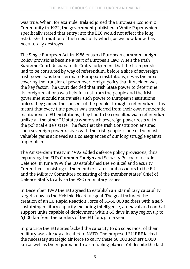was true. When, for example, Ireland joined the European Economic Community in 1972, the government published a White Paper which specifically stated that entry into the EEC would not affect the long established tradition of Irish neutrality which, as we now know, has been totally destroyed.

The Single European Act in 1986 ensured European common foreign policy provisions became a part of European Law. When the Irish Supreme Court decided in its Crotty judgement that the Irish people had to be consulted by way of referendum, before a slice of sovereign Irish power was transferred to European institutions, it was the area covering the transfer of power over foreign policy that it decided was the key factor. The Court decided that Irish State power to determine its foreign relations was held in trust from the people and the Irish government could not transfer such power to European institutions unless they gained the consent of the people through a referendum. This meant that every time power was transferred from their own democratic institutions to EU institutions, they had to be consulted via a referendum unlike all the other EU states where such sovereign power rests with the political elite's state. The fact that the Irish Constitution ensured such sovereign power resides with the Irish people is one of the most valuable gains achieved as a consequences of our long struggle against Imperialism.

The Amsterdam Treaty in 1992 added defence policy provisions, thus expanding the EU's Common Foreign and Security Policy to include Defence. In June 1999 the EU established the Political and Security Committee consisting of the member states' ambassadors to the EU and the Military Committee consisting of the member states' Chief of Defence Staffs to advise the PSC on military issues.

In December 1999 the EU agreed to establish an EU military capability target know as the Helsinki Headline goal. The goal included the creation of an EU Rapid Reaction Force of 50-60,000 soldiers with a selfsustaining military capacity including intelligence, air, naval and combat support units capable of deployment within 60 days in any region up to 6,000 km from the borders of the EU for up to a year.

In practice the EU states lacked the capacity to do so as most of their military was already allocated to NATO. The proposed EU RRF lacked the necessary strategic air force to carry these 60,000 soldiers 6,000 km as well as the required air-to-air refueling planes. Yet despite the fact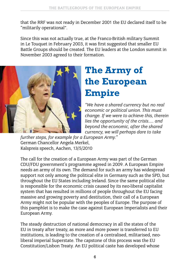that the RRF was not ready in December 2001 the EU declared itself to be "militarily operational".

Since this was not actually true, at the Franco-British military Summit in Le Touquet in February 2003, it was first suggested that smaller EU Battle Groups should be created. The EU leaders at the London summit in November 2003 agreed to their formation.



### **The Army of the European Empire**

*"We have a shared currency but no real economic or political union. This must change. If we were to achieve this, therein lies the opportunity of the crisis….. and beyond the economic, after the shared currency, we will perhaps dare to take* 

*further steps, for example for a European Army."* German Chancellor Angela Merkel, Kalspreis speech, Aachen, 13/5/2010

The call for the creation of a European Army was part of the German CDU/FDU government's programme agreed in 2009. A European Empire needs an army of its own. The demand for such an army has widespread support not only among the political elite in Germany such as the SPD, but throughout the EU States including Ireland. Since the same political elite is responsible for the economic crisis caused by its neo-liberal capitalist system that has resulted in millions of people throughout the EU facing massive and growing poverty and destitution, their call of a European Army might not be popular with the peoples of Europe. The purpose of this pamphlet is to make the case against European Imperialists and their European Army.

The steady destruction of national democracy in all the states of the EU in treaty after treaty, as more and more power is transferred to EU institutions, is leading to the creation of a centralised, militarised, neoliberal imperial Superstate. The capstone of this process was the EU Constitution/Lisbon Treaty. An EU political caste has developed whose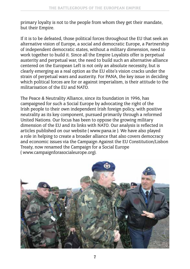primary loyalty is not to the people from whom they get their mandate, but their Empire.

If it is to be defeated, those political forces throughout the EU that seek an alternative vision of Europe, a social and democratic Europe, a Partnership of independent democratic states, without a military dimension, need to work together to build it. Since all the Empire Loyalists offer is perpetual austerity and perpetual war, the need to build such an alternative alliance centered on the European Left is not only an absolute necessity, but is clearly emerging as a real option as the EU elite's vision cracks under the strain of perpetual wars and austerity. For PANA, the key issue in deciding which political forces are for or against imperialism, is their attitude to the militarisation of the EU and NATO.

The Peace & Neutrality Alliance, since its foundation in 1996, has campaigned for such a Social Europe by advocating the right of the Irish people to their own independent Irish foreign policy, with positive neutrality as its key component, pursued primarily through a reformed United Nations. Our focus has been to oppose the growing military dimension of the EU and its links with NATO. Our analysis is reflected in articles published on our website ( www.pana.ie ). We have also played a role in helping to create a broader alliance that also covers democracy and economic issues via the Campaign Against the EU Constitution/Lisbon Treaty, now renamed the Campaign for a Social Europe ( www.campaignforasocialeurope.org).

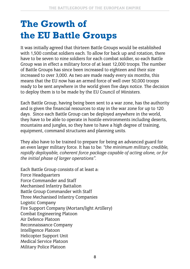#### **The Growth of the EU Battle Groups**

It was initially agreed that thirteen Battle Groups would be established with 1,500 combat soldiers each. To allow for back up and rotation, there have to be seven to nine soldiers for each combat soldier, so each Battle Group was in effect a military force of at least 12,000 troops. The number of Battle Groups has since been increased to eighteen and their size increased to over 3,000. As two are made ready every six months, this means that the EU now has an armed force of well over 50,000 troops ready to be sent anywhere in the world given five days notice. The decision to deploy them is to be made by the EU Council of Ministers.

Each Battle Group, having being been sent to a war zone, has the authority and is given the financial resources to stay in the war zone for up to 120 days. Since each Battle Group can be deployed anywhere in the world, they have to be able to operate in hostile environments including deserts, mountains and jungles, so they have to have a high degree of training, equipment, command structures and planning units.

They also have to be trained to prepare for being an advanced guard for an even larger military force. It has to be: *"the minimum military, credible, rapidly deployable, coherent force package capable of acting alone, or for the initial phase of larger operations".*

Each Battle Group consists of at least a: Force Headquarters Force Commander and Staff Mechanised Infantry Battalion Battle Group Commander with Staff Three Mechanised Infantry Companies Logistic Company Fire Support Company (Mortars/light Artillery) Combat Engineering Platoon Air Defence Platoon Reconnaissance Company Intelligence Platoon Helicopter Support Unit Medical Service Platoon Military Police Platoon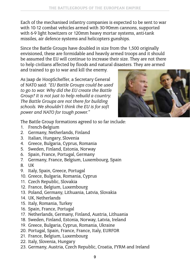Each of the mechanised infantry companies is expected to be sent to war with 10-12 combat vehicles armed with 30-90mm cannons, supported with 6-9 light howitzers or 120mm heavy mortar systems, anti-tank missiles, air defence systems and helicopters gunships.

Since the Battle Groups have doubled in size from the 1,500 originally envisioned, these are formidable and heavily armed troops and it should be assumed the EU will continue to increase their size. They are not there to help civilians affected by floods and natural disasters. They are armed

and trained to go to war and kill the enemy.



As Jaap de HoopScheffer, a Secretary General of NATO said: *"EU Battle Groups could be used to go to war. Why did the EU create the Battle Group? It is not just to help rebuild a country. The Battle Groups are not there for building schools. We shouldn't think the EU is for soft power and NATO for tough power."*

The Battle Group formations agreed to so far include:

- 1. French-Belgium
- 2. Germany, Netherlands, Finland
- 3. Italian, Hungary, Slovenia
- 4. Greece, Bulgaria, Cyprus, Romania
- 5. Sweden, Finland, Estonia, Norway
- 6. Spain, France, Portugal, Germany
- 7. Germany, France, Belgium, Luxembourg, Spain
- 8. UK
- 9. Italy, Spain, Greece, Portugal
- 10. Greece, Bulgaria, Romania, Cyprus
- 11. Czech Republic, Slovakia
- 12. France, Belgium, Luxembourg
- 13. Poland, Germany, Lithuania, Latvia, Slovakia
- 14. UK, Netherlands
- 15. Italy, Romania, Turkey
- 16. Spain, France, Portugal
- 17. Netherlands, Germany, Finland, Austria, Lithuania
- 18. Sweden, Finland, Estonia, Norway, Latvia, Ireland
- 19. Greece, Bulgaria, Cyprus, Romania, Ukraine
- 20. Portugal, Spain, France, France, Italy, EURFOR
- 21. France, Belgium, Luxembourg
- 22. Italy, Slovenia, Hungary
- 23. Germany, Austria, Czech Republic, Croatia, FYRM and Ireland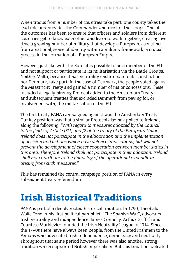When troops from a number of countries take part, one county takes the lead role and provides the Commander and most of the troops. One of the outcomes has been to ensure that officers and soldiers from different countries get to know each other and learn to work together, creating over time a growing number of military that develop a European, as distinct from a national, sense of identity within a military framework, a crucial process in the formation of a European Empire.

However, just like with the Euro, it is possible to be a member of the EU and not support or participate in its militarisation via the Battle Groups. Neither Malta, because it has neutrality enshrined into its constitution, nor Denmark, take part. In the case of Denmark, the people voted against the Maastricht Treaty and gained a number of major concessions. These included a legally binding Protocol added to the Amsterdam Treaty and subsequent treaties that excluded Denmark from paying for, or involvement with, the militarisation of the EU.

The first treaty PANA campaigned against was the Amsterdam Treaty. Our key position was that a similar Protocol also be applied to Ireland, along the following: *"With regard to measures adopted by the Council in the fields of Article J3(1) and J7 of the treaty of the European Union, Ireland does not participate in the elaboration and the implementation of decision and actions which have defence implications, but will not prevent the development of closer cooperation between member states in this area. Therefore Ireland shall not participate in their adoption. Ireland shall not contribute to the financing of the operational expenditure arising from such measures."*

This has remained the central campaign position of PANA in every subsequent treaty referendum.

### **Irish Historical Traditions**

PANA is part of a deeply rooted historical tradition. In 1790, Theobald Wolfe Tone in his first political pamphlet, "The Spanish War", advocated Irish neutrality and independence. James Connolly, Arthur Griffith and Countess Markievicz founded the Irish Neutrality League in 1914. Since the 1790s there have always been people, from the United Irishmen to the Fenians who advocated Irish independence, democracy and neutrality. Throughout that same period however there was also another strong tradition which supported British imperialism. But this tradition, defeated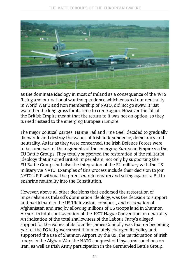

as the dominate ideology in most of Ireland as a consequence of the 1916 Rising and our national war independence which ensured our neutrality in World War 2 and non membership of NATO, did not go away. It just waited in the long grass for its time to come again. However the fall of the British Empire meant that the return to it was not an option, so they turned instead to the emerging European Empire.

The major political parties, Fianna Fáil and Fine Gael, decided to gradually dismantle and destroy the values of Irish independence, democracy and neutrality. As far as they were concerned, the Irish Defence Forces were to become part of the regiments of the emerging European Empire via the EU Battle Groups. They totally supported the restoration of the militarist ideology that inspired British Imperialism, not only by supporting the EU Battle Groups but also the integration of the EU military with the US military via NATO. Examples of this process include their decision to join NATO's PfP without the promised referendum and voting against a Bill to enshrine neutrality into the Constitution.

However, above all other decisions that endorsed the restoration of imperialism as Ireland's domination ideology, was the decision to support and participate in the US/UK invasion, conquest, and occupation of Afghanistan and Iraq by allowing millions of US troops land in Shannon Airport in total contravention of the 1907 Hague Convention on neutrality. An indication of the total shallowness of the Labour Party's alleged support for the values of its founder James Connolly was that on becoming part of the FG led government it immediately changed its policy and supported the use of Shannon Airport by the US, the participation of Irish troops in the Afghan War, the NATO conquest of Libya, and sanctions on Iran, as well as Irish Army participation in the German-led Battle Group.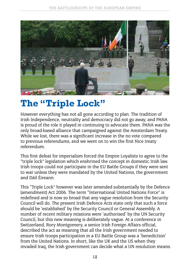

#### **The "Triple Lock"**

However everything has not all gone according to plan. The tradition of Irish Independence, neutrality and democracy did not go away, and PANA is proud of the role it played in continuing to advocate them. PANA was the only broad-based alliance that campaigned against the Amsterdam Treaty. While we lost, there was a significant increase in the no vote compared to previous referendums, and we went on to win the first Nice treaty referendum.

This first defeat for imperialism forced the Empire Loyalists to agree to the "triple lock" legislation which enshrined the concept in domestic Irish law. Irish troops could not participate in the EU Battle Groups if they were sent to war unless they were mandated by the United Nations, the government and Dáil Éireann.

This "Triple Lock" however was later amended substantially by the Defence (amendment) Act 2006. The term "International United Nations Force" is redefined and is now so broad that any vague resolution from the Security Council will do. The present Irish Defence Acts state only that such a force should be 'established' by the Security Council or General Assembly. A number of recent military missions were 'authorised' by the UN Security Council, but this new meaning is deliberately vague. At a conference in Switzerland, Rory Montgomery, a senior Irish Foreign Affairs official, described the act as meaning that all the Irish government needed to ensure Irish troops participation in a EU Battle Group was a 'benediction' from the United Nations. In short, like the UK and the US when they invaded Iraq, the Irish government can decide what a UN resolution means.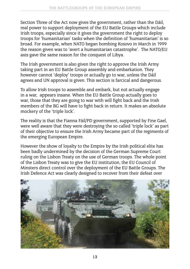Section Three of the Act now gives the government, rather than the Dáil, real power to support deployment of the EU Battle Groups which include Irish troops, especially since it gives the government the right to deploy troops for 'humanitarian' tasks when the definition of 'humanitarian' is so broad. For example, when NATO began bombing Kosovo in March in 1999 the reason given was to 'avert a humanitarian catastrophe'. The NATO/EU axis gave the same reason for the conquest of Libya.

The Irish government is also given the right to approve the Irish Army taking part in an EU Battle Group assembly and embarkation. They however cannot 'deploy' troops or actually go to war, unless the Dáil agrees and UN approval is given. This section is farcical and dangerous.

To allow Irish troops to assemble and embark, but not actually engage in a war, appears insane. When the EU Battle Group actually goes to war, those that they are going to war with will fight back and the Irish members of the BG will have to fight back in return. It makes an absolute mockery of the 'triple lock'.

The reality is that the Fianna Fáil/PD government, supported by Fine Gael, were well aware that they were destroying the so called 'triple lock' as part of their objective to ensure the Irish Army became part of the regiments of the emerging European Empire.

However the show of loyalty to the Empire by the Irish political elite has been badly undermined by the decision of the German Supreme Court ruling on the Lisbon Treaty on the use of German troops. The whole point of the Lisbon Treaty was to give the EU institution, the EU Council of Minsters direct control over the deployment of the EU Battle Groups. The Irish Defence Act was clearly designed to recover from their defeat over

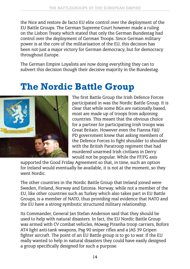the Nice and restore de facto EU elite control over the deployment of the EU Battle Groups. The German Supreme Court however made a ruling on the Lisbon Treaty which stated that only the German Bundestag had control over the deployment of German Troops. Since German military power is at the core of the militarisation of the EU, this decision has been not just a major victory for German democracy, but for democracy throughout Europe.

The German Empire Loyalists are now doing everything they can to subvert this decision though their decisive majority in the Bundestag.

#### **The Nordic Battle Group**



The first Battle Group the Irish Defence Forces participated in was the Nordic Battle Group. It is clear that while some BGs are nationally based, most are made up of troops from adjoining countries. This meant that the obvious choice for a partner for participating Irish troops was Great Britain. However even the Fianna Fáil/ PD government knew that asking members of the Defence Forces to fight shoulder to shoulder with the British Paratroop regiment that had murdered unarmed Irish civilians in Derry would not be popular. While the FF/FG axis

supported the Good Friday Agreement so that, in time, such an option for Ireland would eventually be available, it is not at the moment, so they went Nordic.

The other countries in the Nordic Battle Group that Ireland joined were Sweden, Finland, Norway and Estonia. Norway, while not a member of the EU, like other countries such as Turkey which also takes part in EU Battle Groups, is a member of NATO, thus providing real evidence that NATO and the EU have a strong symbiotic structured military relationship.

Its Commander, General Jan Stefan Anderson said that they should be used to help with natural disasters. In fact, the EU Nordic Battle Group was armed with CV combat vehicles, Mowag Piranha troop carriers, Bofors AT4 light anti-tank weapons, Psg 90 sniper rifles and a JAS 39 Gripen fighter aircraft. The point of an EU Battle group is to go to war. If the EU really wanted to help in natural disasters they could have easily designed a group specifically designed for such a purpose.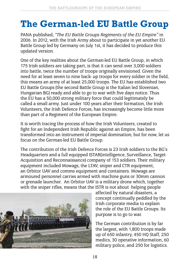#### **The German-led EU Battle Group**

PANA published, *"The EU Battle Groups Regiments of the EU Empire"* in 2006. In 2012, with the Irish Army about to participate in yet another EU Battle Group led by Germany on July 1st, it has decided to produce this updated version.

One of the key realities about the German-led EU Battle Group, in which 175 Irish soldiers are taking part, is that it can send over 3,000 soldiers into battle, twice the number of troops originally envisioned. Given the need for at least seven to nine back- up troops for every soldier in the field, this means an army of at least 25,000 troops. The EU has established two EU Battle Groups (the second Battle Group is the Italian led Slovenian, Hungarian BG) ready and able to go to war with five days notice. Thus the EU has a 50,000 strong military force that could legitimately be called a small army. Just under 100 years after their formation, the Irish Volunteers, the Irish Defence Forces, has increasingly become little more than part of a Regiment of the European Empire.

It is worth tracing the process of how the Irish Volunteers, created to fight for an Independent Irish Republic against an Empire, has been transformed into an instrument of imperial domination; but for now, let us focus on the German-led EU Battle Group.

The contribution of the Irish Defence Forces is 23 Irish soldiers to the BG's Headquarters and a full equipped ISTAR(intelligence, Surveillance, Target-Acquisition and Reconnaissance) company of 153 soldiers. Their military equipment included Mowags, the LTAV, sniper and CTR equipment, an Orbitor UAV and comms equipment and containers. Mowags are armoured personnel carries armed with machine guns or 30mm cannon or grenade launcher. An Orbitor UAV is a military drone which, together with the sniper rifles, means that the ISTR is not about helping people



affected by natural disasters, a concept continually peddled by the Irish corporate media to explain the role of the EU Battle Groups. Its purpose is to go to war.

The German contribution is by far the largest, with 1,800 troops made up of 650 infantry, 450 HQ Staff, 250 medics, 30 operative information, 60 military police, and 250 for logistics.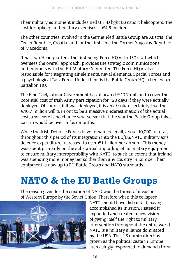Their military equipment includes Bell UHI-D light transport helicopters. The cost for upkeep and military exercises is €4.5 million.

The other countries involved in the German-led Battle Group are Austria, the Czech Republic, Croatia, and for the first time the Former Yugoslav Republic of Macedonia.

It has two Headquarters, the first being Force HQ with 150 staff which oversees the overall approach, provides the strategic communications and interacts with the EU Military Committee. The Force HQ is also responsible for integrating air elements, naval elements, Special Forces and a psychological Task Force. Under them is the Battle Group HQ, a beefed up battalion HQ.

The Fine Gael/Labour Government has allocated €10.7 million to cover the potential cost of Irish Army participation for 120 days if they were actually deployed. Of course, if it was deployed, it is an absolute certainty that the €10.7 million will turn out to be a massive underestimation of the actual cost, and there is no chance whatsoever that the war the Battle Group takes part in would be over in four months.

While the Irish Defence Forces have remained small, about 10,000 in total, throughout this period of its integration into the EU/US/NATO military axis, defence expenditure increased to over €1 billion per annum. This money was spent primarily on the substantial upgrading of its military equipment to ensure military interoperability with NATO, to such an extent that Ireland was spending more money per soldier than any country in Europe. Their equipment is now up to EU Battle Group and NATO standards.

#### **NATO & the EU Battle Groups**

The reason given for the creation of NATO was the threat of invasion of Western Europe by the Soviet Union. Therefore when this collapsed



NATO should have disbanded, having accomplished its mission. Instead it expanded and created a new vision of giving itself the right to military intervention throughout the entire world. NATO is a military alliance dominated by the USA. This US domination has grown as the political caste in Europe increasingly responded to demands from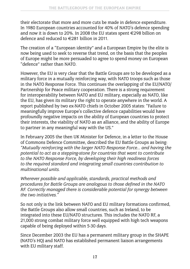their electorate that more and more cuts be made in defence expenditure. In 1980 European countries accounted for 40% of NATO's defence spending and now it is down to 20%. In 2008 the EU states spent €298 billion on defence and reduced to €281 billion in 2011.

The creation of a "European identity" and a European Empire by the elite is now being used to seek to reverse that trend, on the basis that the peoples of Europe might be more persuaded to agree to spend money on European "defence" rather than NATO.

However, the EU is very clear that the Battle Groups are to be developed as a military force in a mutually reinforcing way, with NATO troops such as those in the NATO Response Force. This continues the overlapping of the EU/NATO/ Partnership for Peace military cooperation. There is a strong requirement for interoperability between NATO and EU military, especially as NATO, like the EU, has given its military the right to operate anywhere in the world. A report published by two ex-NATO chiefs in October 2005 states: "Failure to meaningfully improve Europe's collective defence capabilities would have profoundly negative impacts on the ability of European countries to protect their interests, the viability of NATO as an alliance, and the ability of Europe to partner in any meaningful way with the US."

In February 2005 the then UK Minister for Defence, in a letter to the House of Commons Defence Committee, described the EU Battle Groups as being: *"Mutually reinforcing with the larger NATO Response Force… and having the potential to act as a stepping-stone for countries that want to contribute to the NATO Response Force, by developing their high readiness forces to the required standard and integrating small countries contribution to multinational units.*

*Wherever possible and applicable, standards, practical methods and procedures for Battle Groups are analogous to those defined in the NATO RF. Correctly managed there is considerable potential for synergy between the two initiatives."*

So not only is the link between NATO and EU military formations confirmed, the Battle Groups also allow small countries, such as Ireland, to be integrated into these EU/NATO structures. This includes the NATO RF, a 21,000 strong combat military force well equipped with high tech weapons capable of being deployed within 5-30 days.

Since December 2003 the EU has a permanent military group in the SHAPE (NATO's HQ) and NATO has established permanent liaison arrangements with EU military staff.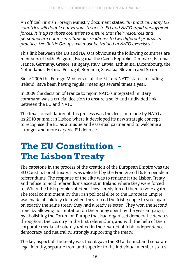An official Finnish Foreign Ministry document states: *"In practice, many EU countries will double-hat various troops to EU and NATO rapid deployment forces. It is up to those countries to ensure that their resources and personnel are not in simultaneous readiness to two different groups. In practice, the Battle Groups will most be trained in NATO exercises."*

This link between the EU and NATO is obvious as the following countries are members of both; Belgium, Bulgaria, the Czech Republic, Denmark, Estonia, France, Germany, Greece, Hungary, Italy, Latvia, Lithuania, Luxembourg, the Netherlands, Poland, Portugal, Romania, Slovakia, Slovenia and Spain.

Since 2006 the Foreign Minsters of all the EU and NATO states, including Ireland, have been having regular meetings several times a year.

In 2009 the decision of France to rejoin NATO's integrated military command was a crucial decision to ensure a solid and undivided link between the EU and NATO.

The final consolidation of this process was the decision made by NATO at its 2010 summit in Lisbon where it developed its new strategic concept to recognise the EU as a unique and essential partner and to welcome a stronger and more capable EU defence.

#### **The EU Constitution - The Lisbon Treaty**

The capstone in the process of the creation of the European Empire was the EU Constitutional Treaty. It was defeated by the French and Dutch people in referendums. The response of the elite was to rename it the Lisbon Treaty and refuse to hold referendums except in Ireland where they were forced to. When the Irish people voted no, they simply forced them to vote again. The total commitment by the Irish political elite to the European Empire was made absolutely clear when they forced the Irish people to vote again on exactly the same treaty they had already rejected. They won the second time, by allowing no limitation on the money spent by the yes campaign, by abolishing the Forum on Europe that had organised democratic debates throughout the country in the first referendum, and with the help of their corporate media, absolutely united in their hatred of Irish independence, democracy and neutrality, strongly supporting the treaty.

The key aspect of the treaty was that it gave the EU a distinct and separate legal identity, separate from and superior to the individual member states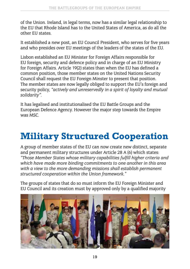of the Union. Ireland, in legal terms, now has a similar legal relationship to the EU that Rhode Island has to the United States of America, as do all the other EU states.

It established a new post, an EU Council President, who serves for five years and who presides over EU meetings of the leaders of the states of the EU.

Lisbon established an EU Minister for Foreign Affairs responsible for EU foreign, security and defence policy and in charge of an EU Ministry for Foreign Affairs. Article 19(2) states than when the EU has defined a common position, those member states on the United Nations Security Council shall request the EU Foreign Minster to present that position. The member states are now legally obliged to support the EU's foreign and security policy, *"actively and unreservedly in a spirit of loyalty and mutual solidarity".*

It has legalised and institutionalised the EU Battle Groups and the European Defence Agency. However the major step towards the Empire was MSC.

#### **Military Structured Cooperation**

A group of member states of the EU can now create new distinct, separate and permanent military structures under Article 28 A (6) which states: *"Those Member States whose military capabilities fulfill higher criteria and which have made more binding commitments to one another in this area with a view to the more demanding missions shall establish permanent structured cooperation within the Union framework."*

The groups of states that do so must inform the EU Foreign Minister and EU Council and its creation must by approved only by a qualified majority

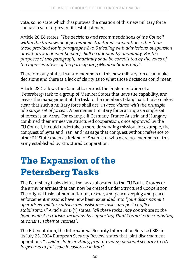vote, so no state which disapproves the creation of this new military force can use a veto to prevent its establishment.

Article 28 E6 states: *"The decisions and recommendations of the Council within the framework of permanent structured cooperation, other than those provided for in paragraphs 2 to 5 (dealing with admissions, suspension or withdrawal of membership) shall be adopted by unanimity. For the purposes of this paragraph, unanimity shall be constituted by the votes of the representatives of the participating Member States only".*

Therefore only states that are members of this new military force can make decisions and there is a lack of clarity as to what those decisions could mean.

Article 28 C allows the Council to entrust the implementation of a (Petersberg) task to a group of Member States that have the capability, and leaves the management of the task to the members taking part. It also makes clear that such a military force shall act *"in accordance with the principle of a single set of forces"*. A permanent military force acting as a single set of forces is an Army. For example if Germany, France Austria and Hungary combined their armies via structured cooperation, once approved by the EU Council, it could undertake a more demanding mission, for example, the conquest of Syria and Iran, and manage that conquest without reference to other EU States such as Ireland or Spain, etc, who were not members of this army established by Structured Cooperation.

### **The Expansion of the Petersberg Tasks**

The Petersberg tasks define the tasks allocated to the EU Battle Groups or the army or armies that can now be created under Structured Cooperation. The original tasks of humanitarian, rescue, and peace-keeping and peaceenforcement missions have now been expanded into *"joint disarmament operations, military advice and assistance tasks and post-conflict stabilisation."* Article 28 B (1) states: *"all these tasks may contribute to the fight against terrorism, including by supporting Third Countries in combating terrorism in their territories".*

The EU institution, the International Security Information Service (ISIS) in its July 23, 2004 European Security Review, states that joint disarmament operations *"could include anything from providing personal security to UN inspectors to full scale invasions á la Iraq".*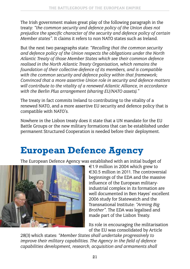The Irish government makes great play of the following paragraph in the treaty: *"the common security and defence policy of the Union does not prejudice the specific character of the security and defence policy of certain Member states"*. It claims it refers to non NATO states such as Ireland.

But the next two paragraphs state: *"Recalling that the common security and defence policy of the Union respects the obligations under the North Atlantic Treaty of those Member States which see their common defence realised in the North Atlantic Treaty Organisation, which remains the foundation of their collective defence of its members, and is compatible with the common security and defence policy within that framework; Convinced that a more assertive Union role in security and defence matters will contribute to the vitality of a renewed Atlantic Alliance, in accordance with the Berlin Plus arrangement (sharing EU/NATO assets)."*

The treaty in fact commits Ireland to contributing to the vitality of a renewed NATO, and a more assertive EU security and defence policy that is compatible with NATO's.

Nowhere in the Lisbon treaty does it state that a UN mandate for the EU Battle Groups or the new military formations that can be established under permanent Structured Cooperation is needed before their deployment.

#### **European Defence Agency**

The European Defence Agency was established with an initial budget of



€1.9 million in 2004 which grew to €30.5 million in 2011. The controversial beginnings of the EDA and the massive influence of the European militaryindustrial complex in its formation are well documented in Ben Hayes' excellent 2006 study for Statewatch and the Transnational Institute: *"Arming Big Brother"*. The EDA was legalised and made part of the Lisbon Treaty.

Its role in encouraging the militarisation of the EU was consolidated by Article

28(3) which states: *"Member States shall undertake progressively to improve their military capabilities. The Agency in the field of defence capabilities development, research, acquisition and armaments shall*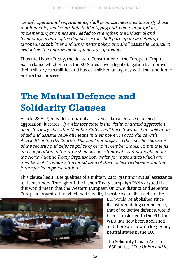*identify operational requirements, shall promote measures to satisfy those requirements, shall contribute to identifying and, where appropriate, implementing any measure needed to strengthen the industrial and technological base of the defence sector, shall participate in defining a European capabilities and armaments policy, and shall assist the Council in evaluating the improvement of military capabilities."*

Thus the Lisbon Treaty, the de facto Constitution of the European Empire, has a clause which means the EU States have a legal obligation to improve their military capabilities and has established an agency with the function to ensure that process.

#### **The Mutual Defence and Solidarity Clauses**

Article 28 A (7) provides a mutual assistance clause in case of armed aggression. It states: *"If a Member state is the victim of armed aggression on its territory, the other Member States shall have towards it an obligation of aid and assistance by all means in their power, in accordance with Article 51 of the UN Charter. This shall not prejudice the specific character of the security and defence policy of certain Member States. Commitments and cooperation in this area shall be consistent with commitments under the North Atlantic Treaty Organisation, which for those states which are members of it, remains the foundation of their collective defence and the forum for its implementation."*

This clause has all the qualities of a military pact, granting mutual assistance to its members. Throughout the Lisbon Treaty campaign PANA argued that this would mean that the Western European Union, a distinct and separate European organisation which had steadily transferred all its assets to the



EU, would be abolished since its last remaining competence, that of collective defence, would been transferred to the EU. The WEU has now been abolished and there are now no longer any neutral states in the EU.

The Solidarity Clause Article 188R states: *"The Union and its*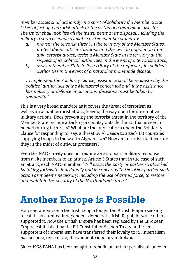*member states shall act jointly in a spirit of solidarity if a Member State is the object of a terrorist attack or the victim of a man-made disaster. The Union shall mobilise all the instruments at its disposal, including the military resources made available by the member states, to:*

- *a) prevent the terrorist threat in the territory of the Member States; protect democratic institutions and the civilian population from any terrorist attack; assist a Member State in its territory at the request of its political authorities in the event of a terrorist attack;*
- *b) assist a Member State in its territory at the request of its political authorities in the event of a natural or man-made disaster.*

*To implement the Solidarity Clause, assistance shall be requested by the political authorities of the Member(s) concerned and, if the assistance has military or defence implications, decisions must be taken by unanimity."*

This is a very broad mandate as it covers the threat of terrorism as well as an actual terrorist attack, leaving the way open for pre-emptive military actions. Does preventing the terrorist threat in the territory of the Member State include attacking a country outside the EU that is seen to be harbouring terrorists? What are the implications under the Solidarity Clause for responding to, say, a threat by Al Qaeda to attack EU countries supplying troops to the war in Afghanistan? How are terrorists defined: are they in the midst of anti-war protesters?

Even the NATO Treaty does not require an automatic military response from all its members to an attack. Article 5 States that in the case of such an attack, each NATO member: *"Will assist the party or parties so attacked by taking forthwith, individually and in concert with the other parties, such action as it deems necessary, including the use of armed force, to restore and maintain the security of the North Atlantic area."* 

#### **Another Europe is Possible**

For generations some the Irish people fought the British Empire seeking to establish a united independent democratic Irish Republic, while others supported it. Now the British Empire has been replaced by the European Empire established by the EU Constitution/Lisbon Treaty and Irish supporters of imperialism have transferred their loyalty to it. Imperialism has become, once more, the dominate ideology in Ireland.

Since 1996 PANA has been sought to rebuild an anti-imperialist alliance in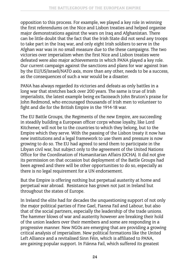opposition to this process. For example, we played a key role in winning the first referendums on the Nice and Lisbon treaties and helped organise major demonstrations against the wars on Iraq and Afghanistan. There can be little doubt that the fact that the Irish State did not send any troops to take part in the Iraq war, and only eight Irish soldiers to serve in the Afghan war was in no small measure due to the these campaigns. The two victories over imperialism when the first Nice and Lisbon treaties were defeated were also major achievements in which PANA played a key role. Our current campaign against the sanctions and plans for war against Iran by the EU/US/Israeli/NATO axis, more than any other, needs to be a success, as the consequences of such a war would be a disaster.

PANA has always regarded its victories and defeats as only battles in a long war that stretches back over 200 years. The same is true of Irish imperialists, the latest example being ex-Taoiseach John Bruton's praise for John Redmond, who encouraged thousands of Irish men to volunteer to fight and die for the British Empire in the 1914-18 war.

The EU Battle Groups, the Regiments of the new Empire, are succeeding in steadily building a European officer corps whose loyalty, like Lord Kitchener, will not be to the countries to which they belong, but to the Empire which they serve. With the passing of the Lisbon treaty it now has new institutions and a legal framework to use them and pressure is now growing to do so. The EU had agreed to send them to participate in the Libyan civil war, but subject only to the agreement of the United Nations Office for the Coordination of Humanitarian Affairs (OCHA). It did not give its permission on that occasion but deployment of the Battle Groups had been agreed and there will be other opportunities to do so, especially as there is no legal requirement for a UN endorsement.

But the Empire is offering nothing but perpetual austerity at home and perpetual war abroad. Resistance has grown not just in Ireland but throughout the states of Europe.

In Ireland the elite had for decades the unquestioning support of not only the major political parties of Fine Gael, Fianna Fail and Labour, but also that of the social partners, especially the leadership of the trade unions. The hammer blows of war and austerity however are breaking their hold of the union leaders over their members and some are responding in a progressive manner. New NGOs are emerging that are providing a growing critical analysis of imperialism. New political formations like the United Left Alliance and a revitalised Sinn Féin, which is affiliated to PANA, are gaining popular support. In Fiánna Fail, which suffered its greatest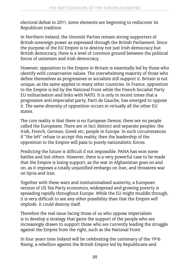electoral defeat in 2011, some elements are beginning to rediscover its Republican tradition.

In Northern Ireland, the Unionist Parties remain strong supporters of British sovereign power as expressed through the British Parliament. Since the purpose of the EU Empire is to destroy not just Irish democracy but British democracy, there is a level of common ground between the political forces of unionism and Irish democracy.

However, opposition to the Empire in Britain is essentially led by those who identify with conservative values. The overwhelming majority of those who define themselves as progressives or socialists still support it. Britain is not unique, as the same applies to many other countries. In France, opposition to the Empire is led by the National Front while the French Socialist Party EU militarisation and links with NATO. It is only in recent times that a progressive anti-imperialist party, Parti de Gauche, has emerged to oppose it. The same diversity of opposition occurs in virtually all the other EU states.

The core reality is that there is no European Demos, there are no people called the Europeans. There are in fact distinct and separate peoples: the Irish, French, German, Greek etc, people in Europe. In such circumstances if "the left" refuse to accept this reality, then the leadership of the opposition to the Empire will pass to purely nationalistic forces.

Predicting the future is difficult if not impossible. PANA has won some battles and lost others. However, there is a very powerful case to be made that the Empire is losing support, as the war in Afghanistan goes on and on, as it imposes a totally unjustified embargo on Iran, and threatens war on Syria and Iran.

Together with these wars and institutionalised austerity, a European version of US Tea Party economics, widespread and growing poverty is spreading rapidly throughout Europe. While the EU might muddle through, it is very difficult to see any other possibility than that the Empire will implode. It could destroy itself.

Therefore the real issue facing those of us who oppose imperialism is to develop a strategy that gains the support of the people who are increasingly drawn to support those who are currently leading the struggle against the Empire from the right, such as the National Front.

In four years time Ireland will be celebrating the centenary of the 1916 Rising, a rebellion against the British Empire led by Republicans and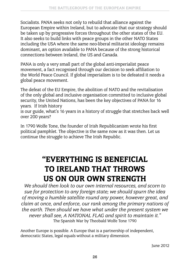Socialists. PANA seeks not only to rebuild that alliance against the European Empire within Ireland, but to advocate that our strategy should be taken up by progressive forces throughout the other states of the EU. It also seeks to build links with peace groups in the other NATO States including the USA where the same neo-liberal militarist ideology remains dominant, an option available to PANA because of the strong historical connections between Ireland, the US and Canada.

PANA is only a very small part of the global anti-imperialist peace movement, a fact recognised through our decision to seek affiliation to the World Peace Council. If global imperialism is to be defeated it needs a global peace movement.

The defeat of the EU Empire, the abolition of NATO and the revitalisation of the only global and inclusive organisation committed to inclusive global security, the United Nations, has been the key objectives of PANA for 16 years. If Irish history

is our guide, what's 16 years in a history of struggle that stretches back well over 200 years?

In 1790 Wolfe Tone, the founder of Irish Republicanism wrote his first political pamphlet. The objective is the same now as it was then. Let us continue the struggle to achieve The Irish Republic.

#### "EVERYTHING IS BENEFICIAL TO IRELAND THAT THROWS US ON OUR OWN STRENGTH

*We should then look to our own internal resources, and scorn to sue for protection to any foreign state; we should spurn the idea of moving a humble satellite round any power, however great, and claim at once, and enforce, our rank among the primary nations of the earth. Then should we have what under the present system we never shall see, A NATIONAL FLAG and spirit to maintain it."* The Spanish War by Theobald Wolfe Tone 1790

Another Europe is possible. A Europe that is a partnership of independent, democratic States, legal equals without a military dimension.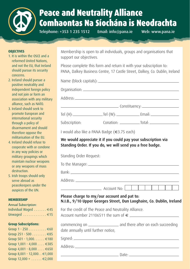

#### Peace and Neutrality Alliance Comhaontas Na Síochána is Neodrachta

Telephone: +353 1 235 1512 Email: info@pana.ie Web: www.pana.ie

#### **OBJECTIVES**

- 1. It is within the OSCE and a reformed United Nations, and not the EU, that Ireland should pursue its security concerns.
- 2. Ireland should pursue a positive neutrality and independent foreign policy and not join or form an association with any military alliance, such as NATO.
- 3. Ireland should seek to promote European and international security through a policy of disarmament and should therefore oppose the militarisation of the EU.
- 4. Ireland should refuse to cooperate with or condone in any way policies or military groupings which maintain nuclear weapons or any weapons of mass destruction.
- 5. Irish troops should only serve abroad as peacekeepers under the auspices of the UN.

#### **MEMBERSHIP**

| <b>Annual Subscription:</b>           |  |  |
|---------------------------------------|--|--|
| Individual Waged €45                  |  |  |
| Unwaged $\ldots \ldots \ldots \in 15$ |  |  |

#### **Group Subscriptions:**

| Group $1 - 250$ $60$            |
|---------------------------------|
| Group 251 - 500 €85             |
| Group 501 - 1,000. €180         |
| Group $1,001 - 4,000 \in 385$   |
| Group 4,001 - 8,000 €650        |
| Group 8,001 - 12,000. . €1,000  |
| Group $12,000 + \ldots + 2,000$ |
|                                 |

Membership is open to all individuals, groups and organisations that support our objectives.

Please complete this form and return it with your subscription to: PANA, Dalkey Business Centre, 17 Castle Street, Dalkey, Co. Dublin, Ireland

| Subscription:                       |                                                      |                                                                       |
|-------------------------------------|------------------------------------------------------|-----------------------------------------------------------------------|
|                                     | I would also like a PANA Badge (€3.75 each)          |                                                                       |
|                                     |                                                      | We would appreciate it if you could pay your subscription via         |
|                                     |                                                      | Standing Order. If you do, we will send you a free badge.             |
| Standing Order Request:             |                                                      |                                                                       |
|                                     |                                                      |                                                                       |
|                                     |                                                      |                                                                       |
|                                     |                                                      |                                                                       |
|                                     |                                                      | $\overline{\phantom{a}}$ Account No: $\overline{\phantom{a}}$         |
|                                     | Please charge to my/our account and pat to:          | N.I.B., 9/10 Upper Georges Street, Dun Laoghaire, Co. Dublin, Ireland |
|                                     | For the credit of The Peace and Neutrality Alliance. | Account number 21106511 the sum of €                                  |
| date annually until further notice, |                                                      |                                                                       |
|                                     |                                                      |                                                                       |
|                                     |                                                      |                                                                       |
|                                     |                                                      |                                                                       |